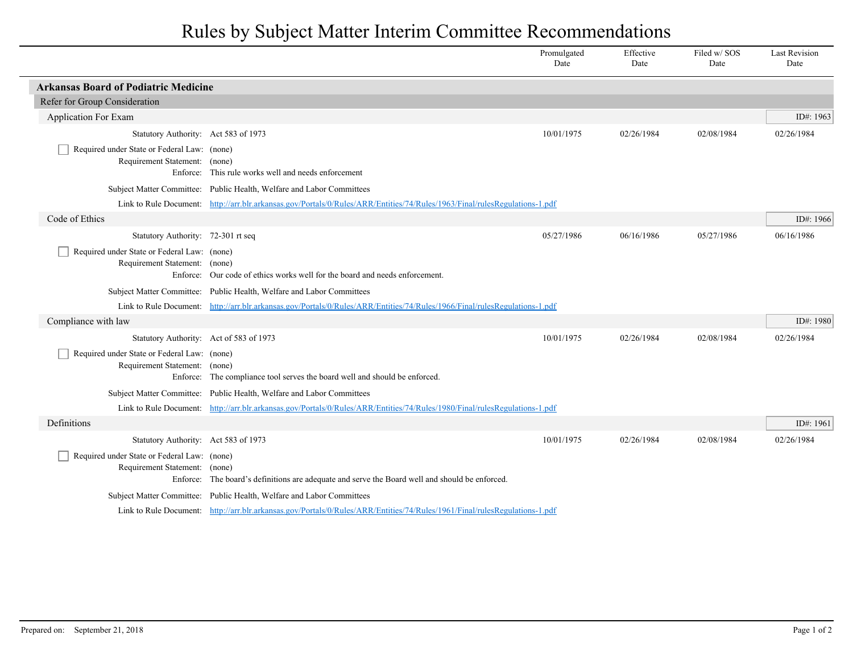## Rules by Subject Matter Interim Committee Recommendations

|                                                                                          |                                                                                                                            | Promulgated<br>Date | Effective<br>Date | Filed w/SOS<br>Date | <b>Last Revision</b><br>Date |
|------------------------------------------------------------------------------------------|----------------------------------------------------------------------------------------------------------------------------|---------------------|-------------------|---------------------|------------------------------|
| <b>Arkansas Board of Podiatric Medicine</b>                                              |                                                                                                                            |                     |                   |                     |                              |
| Refer for Group Consideration                                                            |                                                                                                                            |                     |                   |                     |                              |
| <b>Application For Exam</b>                                                              |                                                                                                                            |                     |                   |                     | ID#: 1963                    |
| Statutory Authority: Act 583 of 1973                                                     |                                                                                                                            | 10/01/1975          | 02/26/1984        | 02/08/1984          | 02/26/1984                   |
| Required under State or Federal Law: (none)<br>Requirement Statement: (none)             | Enforce: This rule works well and needs enforcement                                                                        |                     |                   |                     |                              |
|                                                                                          | Subject Matter Committee: Public Health, Welfare and Labor Committees                                                      |                     |                   |                     |                              |
|                                                                                          | Link to Rule Document: http://arr.blr.arkansas.gov/Portals/0/Rules/ARR/Entities/74/Rules/1963/Final/rulesRegulations-1.pdf |                     |                   |                     |                              |
| Code of Ethics                                                                           |                                                                                                                            |                     |                   |                     | ID#: $1966$                  |
| Statutory Authority: 72-301 rt seq                                                       |                                                                                                                            | 05/27/1986          | 06/16/1986        | 05/27/1986          | 06/16/1986                   |
| Required under State or Federal Law: (none)<br>Requirement Statement: (none)             | Enforce: Our code of ethics works well for the board and needs enforcement.                                                |                     |                   |                     |                              |
|                                                                                          | Subject Matter Committee: Public Health, Welfare and Labor Committees                                                      |                     |                   |                     |                              |
|                                                                                          | Link to Rule Document: http://arr.blr.arkansas.gov/Portals/0/Rules/ARR/Entities/74/Rules/1966/Final/rulesRegulations-1.pdf |                     |                   |                     |                              |
| Compliance with law                                                                      |                                                                                                                            |                     |                   |                     | ID#: 1980                    |
| Statutory Authority: Act of 583 of 1973                                                  |                                                                                                                            | 10/01/1975          | 02/26/1984        | 02/08/1984          | 02/26/1984                   |
| Required under State or Federal Law: (none)<br>Requirement Statement: (none)<br>Enforce: | The compliance tool serves the board well and should be enforced.                                                          |                     |                   |                     |                              |
|                                                                                          | Subject Matter Committee: Public Health, Welfare and Labor Committees                                                      |                     |                   |                     |                              |
|                                                                                          | Link to Rule Document: http://arr.blr.arkansas.gov/Portals/0/Rules/ARR/Entities/74/Rules/1980/Final/rulesRegulations-1.pdf |                     |                   |                     |                              |
| Definitions                                                                              |                                                                                                                            |                     |                   |                     | ID#: 1961                    |
| Statutory Authority: Act 583 of 1973                                                     |                                                                                                                            | 10/01/1975          | 02/26/1984        | 02/08/1984          | 02/26/1984                   |
| Required under State or Federal Law: (none)<br>Requirement Statement:                    | (none)<br>Enforce: The board's definitions are adequate and serve the Board well and should be enforced.                   |                     |                   |                     |                              |
|                                                                                          | Subject Matter Committee: Public Health, Welfare and Labor Committees                                                      |                     |                   |                     |                              |
|                                                                                          | Link to Rule Document: http://arr.blr.arkansas.gov/Portals/0/Rules/ARR/Entities/74/Rules/1961/Final/rulesRegulations-1.pdf |                     |                   |                     |                              |